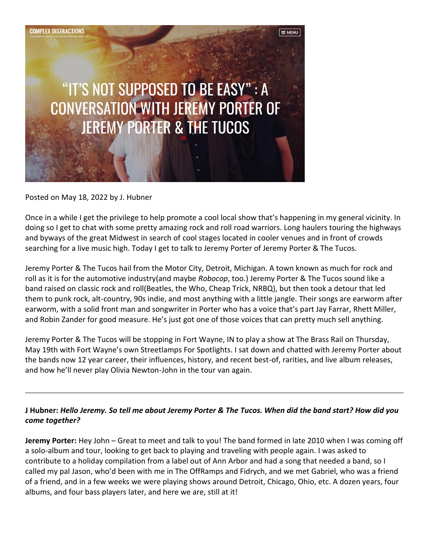

Posted on May 18, 2022 by [J. Hubner](https://complexdistractions.blog/author/jhubner73/)

Once in a while I get the privilege to help promote a cool local show that's happening in my general vicinity. In doing so I get to chat with some pretty amazing rock and roll road warriors. Long haulers touring the highways and byways of the great Midwest in search of cool stages located in cooler venues and in front of crowds searching for a live music high. Today I get to talk to Jeremy Porter of Jeremy Porter & The Tucos.

Jeremy Porter & The Tucos hail from the Motor City, Detroit, Michigan. A town known as much for rock and roll as it is for the automotive industry(and maybe *Robocop*, too.) Jeremy Porter & The Tucos sound like a band raised on classic rock and roll(Beatles, the Who, Cheap Trick, NRBQ), but then took a detour that led them to punk rock, alt-country, 90s indie, and most anything with a little jangle. Their songs are earworm after earworm, with a solid front man and songwriter in Porter who has a voice that's part Jay Farrar, Rhett Miller, and Robin Zander for good measure. He's just got one of those voices that can pretty much sell anything.

Jeremy Porter & The Tucos will be stopping in Fort Wayne, IN to play a show at The Brass Rail on Thursday, May 19th with Fort Wayne's own Streetlamps For Spotlights. I sat down and chatted with Jeremy Porter about the bands now 12 year career, their influences, history, and recent best-of, rarities, and live album releases, and how he'll never play Olivia Newton-John in the tour van again.

# **J Hubner:** *Hello Jeremy. So tell me about Jeremy Porter & The Tucos. When did the band start? How did you come together?*

**Jeremy Porter:** Hey John – Great to meet and talk to you! The band formed in late 2010 when I was coming off a solo-album and tour, looking to get back to playing and traveling with people again. I was asked to contribute to a holiday compilation from a label out of Ann Arbor and had a song that needed a band, so I called my pal Jason, who'd been with me in The OffRamps and Fidrych, and we met Gabriel, who was a friend of a friend, and in a few weeks we were playing shows around Detroit, Chicago, Ohio, etc. A dozen years, four albums, and four bass players later, and here we are, still at it!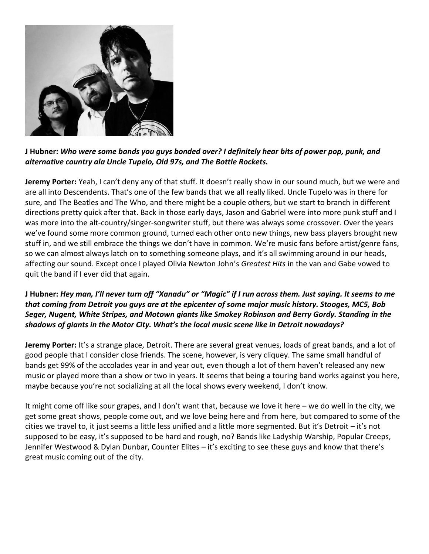

# **J Hubner:** *Who were some bands you guys bonded over? I definitely hear bits of power pop, punk, and alternative country ala Uncle Tupelo, Old 97s, and The Bottle Rockets.*

**Jeremy Porter:** Yeah, I can't deny any of that stuff. It doesn't really show in our sound much, but we were and are all into Descendents. That's one of the few bands that we all really liked. Uncle Tupelo was in there for sure, and The Beatles and The Who, and there might be a couple others, but we start to branch in different directions pretty quick after that. Back in those early days, Jason and Gabriel were into more punk stuff and I was more into the alt-country/singer-songwriter stuff, but there was always some crossover. Over the years we've found some more common ground, turned each other onto new things, new bass players brought new stuff in, and we still embrace the things we don't have in common. We're music fans before artist/genre fans, so we can almost always latch on to something someone plays, and it's all swimming around in our heads, affecting our sound. Except once I played Olivia Newton John's *Greatest Hits* in the van and Gabe vowed to quit the band if I ever did that again.

### **J Hubner:** *Hey man, I'll never turn off "Xanadu" or "Magic" if I run across them. Just saying. It seems to me that coming from Detroit you guys are at the epicenter of some major music history. Stooges, MC5, Bob Seger, Nugent, White Stripes, and Motown giants like Smokey Robinson and Berry Gordy. Standing in the shadows of giants in the Motor City. What's the local music scene like in Detroit nowadays?*

**Jeremy Porter:** It's a strange place, Detroit. There are several great venues, loads of great bands, and a lot of good people that I consider close friends. The scene, however, is very cliquey. The same small handful of bands get 99% of the accolades year in and year out, even though a lot of them haven't released any new music or played more than a show or two in years. It seems that being a touring band works against you here, maybe because you're not socializing at all the local shows every weekend, I don't know.

It might come off like sour grapes, and I don't want that, because we love it here – we do well in the city, we get some great shows, people come out, and we love being here and from here, but compared to some of the cities we travel to, it just seems a little less unified and a little more segmented. But it's Detroit – it's not supposed to be easy, it's supposed to be hard and rough, no? Bands like Ladyship Warship, Popular Creeps, Jennifer Westwood & Dylan Dunbar, Counter Elites – it's exciting to see these guys and know that there's great music coming out of the city.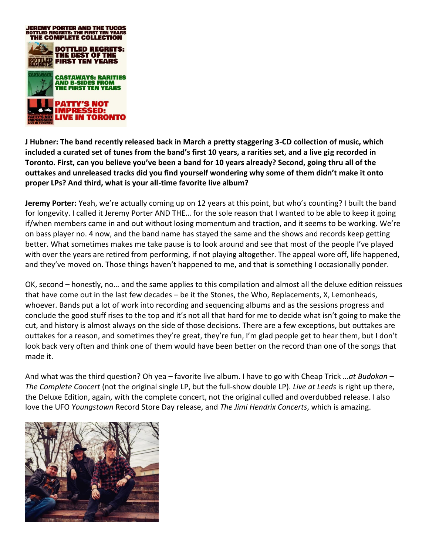

**J Hubner: The band recently released back in March a pretty staggering 3-CD collection of music, which included a curated set of tunes from the band's first 10 years, a rarities set, and a live gig recorded in Toronto. First, can you believe you've been a band for 10 years already? Second, going thru all of the outtakes and unreleased tracks did you find yourself wondering why some of them didn't make it onto proper LPs? And third, what is your all-time favorite live album?**

**Jeremy Porter:** Yeah, we're actually coming up on 12 years at this point, but who's counting? I built the band for longevity. I called it Jeremy Porter AND THE… for the sole reason that I wanted to be able to keep it going if/when members came in and out without losing momentum and traction, and it seems to be working. We're on bass player no. 4 now, and the band name has stayed the same and the shows and records keep getting better. What sometimes makes me take pause is to look around and see that most of the people I've played with over the years are retired from performing, if not playing altogether. The appeal wore off, life happened, and they've moved on. Those things haven't happened to me, and that is something I occasionally ponder.

OK, second – honestly, no… and the same applies to this compilation and almost all the deluxe edition reissues that have come out in the last few decades – be it the Stones, the Who, Replacements, X, Lemonheads, whoever. Bands put a lot of work into recording and sequencing albums and as the sessions progress and conclude the good stuff rises to the top and it's not all that hard for me to decide what isn't going to make the cut, and history is almost always on the side of those decisions. There are a few exceptions, but outtakes are outtakes for a reason, and sometimes they're great, they're fun, I'm glad people get to hear them, but I don't look back very often and think one of them would have been better on the record than one of the songs that made it.

And what was the third question? Oh yea – favorite live album. I have to go with Cheap Trick *…at Budokan – The Complete Concert* (not the original single LP, but the full-show double LP). *Live at Leeds* is right up there, the Deluxe Edition, again, with the complete concert, not the original culled and overdubbed release. I also love the UFO *Youngstown* Record Store Day release, and *The Jimi Hendrix Concerts*, which is amazing.

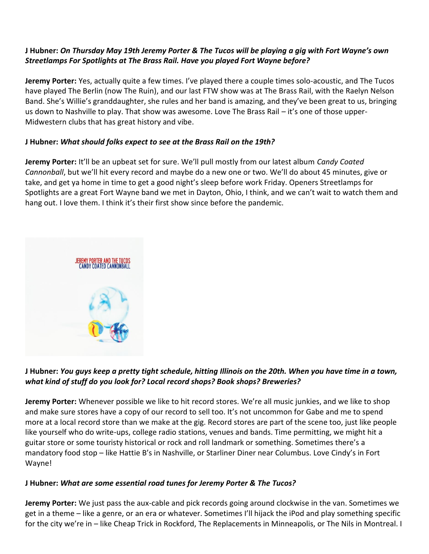# **J Hubner:** *On Thursday May 19th Jeremy Porter & The Tucos will be playing a gig with Fort Wayne's own Streetlamps For Spotlights at The Brass Rail. Have you played Fort Wayne before?*

**Jeremy Porter:** Yes, actually quite a few times. I've played there a couple times solo-acoustic, and The Tucos have played The Berlin (now The Ruin), and our last FTW show was at The Brass Rail, with the Raelyn Nelson Band. She's Willie's granddaughter, she rules and her band is amazing, and they've been great to us, bringing us down to Nashville to play. That show was awesome. Love The Brass Rail – it's one of those upper-Midwestern clubs that has great history and vibe.

### **J Hubner:** *What should folks expect to see at the Brass Rail on the 19th?*

**Jeremy Porter:** It'll be an upbeat set for sure. We'll pull mostly from our latest album *Candy Coated Cannonball*, but we'll hit every record and maybe do a new one or two. We'll do about 45 minutes, give or take, and get ya home in time to get a good night's sleep before work Friday. Openers Streetlamps for Spotlights are a great Fort Wayne band we met in Dayton, Ohio, I think, and we can't wait to watch them and hang out. I love them. I think it's their first show since before the pandemic.



# **J Hubner:** *You guys keep a pretty tight schedule, hitting Illinois on the 20th. When you have time in a town, what kind of stuff do you look for? Local record shops? Book shops? Breweries?*

**Jeremy Porter:** Whenever possible we like to hit record stores. We're all music junkies, and we like to shop and make sure stores have a copy of our record to sell too. It's not uncommon for Gabe and me to spend more at a local record store than we make at the gig. Record stores are part of the scene too, just like people like yourself who do write-ups, college radio stations, venues and bands. Time permitting, we might hit a guitar store or some touristy historical or rock and roll landmark or something. Sometimes there's a mandatory food stop – like Hattie B's in Nashville, or Starliner Diner near Columbus. Love Cindy's in Fort Wayne!

# **J Hubner:** *What are some essential road tunes for Jeremy Porter & The Tucos?*

**Jeremy Porter:** We just pass the aux-cable and pick records going around clockwise in the van. Sometimes we get in a theme – like a genre, or an era or whatever. Sometimes I'll hijack the iPod and play something specific for the city we're in – like Cheap Trick in Rockford, The Replacements in Minneapolis, or The Nils in Montreal. I